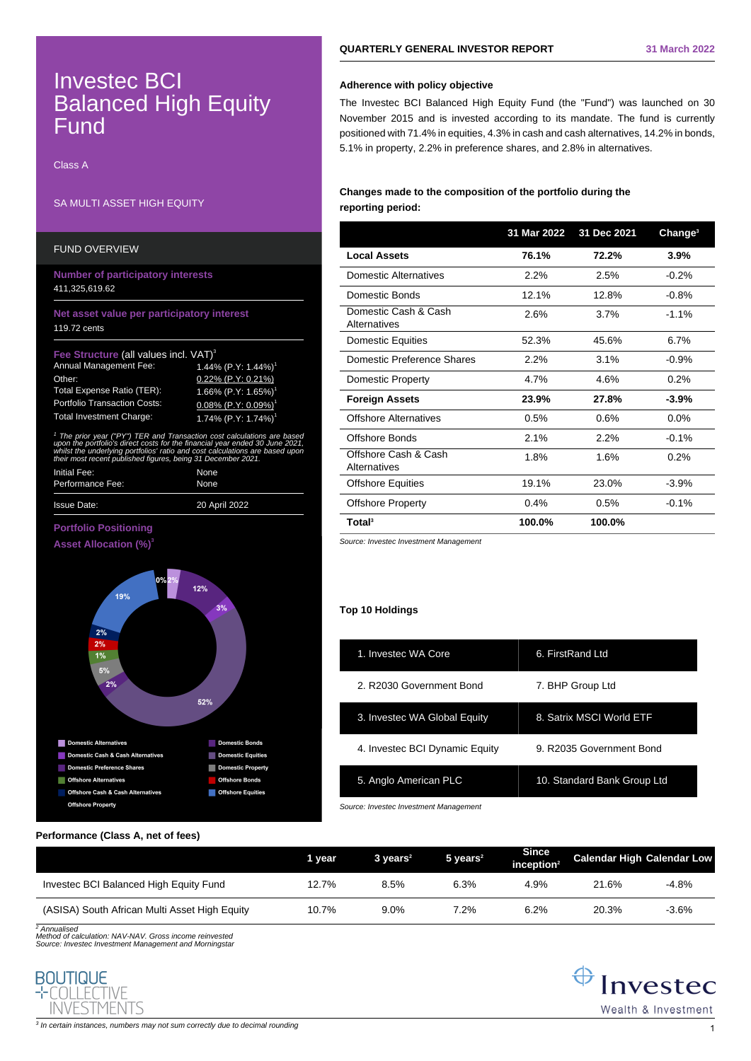# Investec BCI Balanced High Equity Fund

Class A

## SA MULTI ASSET HIGH EQUITY

| <b>FUND OVERVIEW</b>                                                                                                                                                                                                                                                                                                                                                                                                                                                                                                                                    |                                                                                                                                                                    |
|---------------------------------------------------------------------------------------------------------------------------------------------------------------------------------------------------------------------------------------------------------------------------------------------------------------------------------------------------------------------------------------------------------------------------------------------------------------------------------------------------------------------------------------------------------|--------------------------------------------------------------------------------------------------------------------------------------------------------------------|
| <b>Number of participatory interests</b><br>411,325,619.62                                                                                                                                                                                                                                                                                                                                                                                                                                                                                              |                                                                                                                                                                    |
| Net asset value per participatory interest<br>119.72 cents                                                                                                                                                                                                                                                                                                                                                                                                                                                                                              |                                                                                                                                                                    |
| Fee Structure (all values incl. VAT) <sup>3</sup><br>Annual Management Fee:<br>Other:<br>Total Expense Ratio (TER):<br><b>Portfolio Transaction Costs:</b><br><b>Total Investment Charge:</b><br><sup>1</sup> The prior year ("PY") TER and Transaction cost calculations are based<br>upon the portfolio's direct costs for the financial year ended 30 June 2021,<br>whilst the underlying portfolios' ratio and cost calculations are based upon<br>their most recent published figures, being 31 December 2021.<br>Initial Fee:<br>Performance Fee: | 1.44% $(P.Y: 1.44%)$<br>$0.22\%$ (P.Y: 0.21%)<br>1.66% $(P.Y: 1.65%)$<br>$0.08\%$ (P.Y: $0.09\%$ ) <sup>1</sup><br>1.74% (P.Y: 1.74%) <sup>1</sup><br>None<br>None |
| <b>Issue Date:</b>                                                                                                                                                                                                                                                                                                                                                                                                                                                                                                                                      | 20 April 2022                                                                                                                                                      |

## **Portfolio Positioning Asset Allocation (%)<sup>3</sup>**



## **Performance (Class A, net of fees)**

|                                               | 1 vear | $3 \text{ years}^2$ | $5$ vears <sup>2</sup> | <b>Since</b><br>inception $2$ | <b>Calendar High Calendar Low</b> |         |
|-----------------------------------------------|--------|---------------------|------------------------|-------------------------------|-----------------------------------|---------|
| Investec BCI Balanced High Equity Fund        | 12.7%  | 8.5%                | 6.3%                   | 4.9%                          | 21.6%                             | $-4.8%$ |
| (ASISA) South African Multi Asset High Equity | 10.7%  | 9.0%                | 7.2%                   | 6.2%                          | 20.3%                             | $-3.6%$ |

<sup>2</sup> Annualised

Method of calculation: NAV-NAV. Gross income reinvested Source: Investec Investment Management and Morningstar

## **BOUTIQUE**  $-T$  $\cap$  $\cap$  $\cap$  $\cap$  $\cap$  $\cap$  $\cap$  $\cap$  $\cap$ **INVESTMENTS**

## **Adherence with policy objective**

The Investec BCI Balanced High Equity Fund (the "Fund") was launched on 30 November 2015 and is invested according to its mandate. The fund is currently positioned with 71.4% in equities, 4.3% in cash and cash alternatives, 14.2% in bonds, 5.1% in property, 2.2% in preference shares, and 2.8% in alternatives.

## **Changes made to the composition of the portfolio during the reporting period:**

|                                             | 31 Mar 2022 | 31 Dec 2021 | Change <sup>3</sup> |
|---------------------------------------------|-------------|-------------|---------------------|
| <b>Local Assets</b>                         | 76.1%       | 72.2%       | 3.9%                |
| Domestic Alternatives                       | 2.2%        | 2.5%        | $-0.2%$             |
| Domestic Bonds                              | 12.1%       | 12.8%       | $-0.8%$             |
| Domestic Cash & Cash<br>Alternatives        | 2.6%        | 3.7%        | $-1.1\%$            |
| <b>Domestic Equities</b>                    | 52.3%       | 45.6%       | 6.7%                |
| Domestic Preference Shares                  | 2.2%        | 3.1%        | $-0.9%$             |
| Domestic Property                           | 4.7%        | 4.6%        | 0.2%                |
| <b>Foreign Assets</b>                       | 23.9%       | 27.8%       | $-3.9%$             |
| <b>Offshore Alternatives</b>                | 0.5%        | 0.6%        | $0.0\%$             |
| Offshore Bonds                              | 2.1%        | 2.2%        | $-0.1%$             |
| Offshore Cash & Cash<br><b>Alternatives</b> | 1.8%        | 1.6%        | 0.2%                |
| <b>Offshore Equities</b>                    | 19.1%       | 23.0%       | $-3.9%$             |
| <b>Offshore Property</b>                    | 0.4%        | 0.5%        | $-0.1%$             |
| Total <sup>3</sup>                          | 100.0%      | 100.0%      |                     |

Source: Investec Investment Management

### **Top 10 Holdings**

| 1. Investec WA Core            | 6. FirstRand Ltd            |
|--------------------------------|-----------------------------|
| 2. R2030 Government Bond       | 7. BHP Group Ltd            |
| 3. Investec WA Global Equity   | 8. Satrix MSCI World ETF    |
| 4. Investec BCI Dynamic Equity | 9. R2035 Government Bond    |
| 5. Anglo American PLC          | 10. Standard Bank Group Ltd |
|                                |                             |

Source: Investec Investment Management

 $\bigoplus$  Invested Wealth & Investment

 $^3$  In certain instances, numbers may not sum correctly due to decimal rounding  $\,1\,$